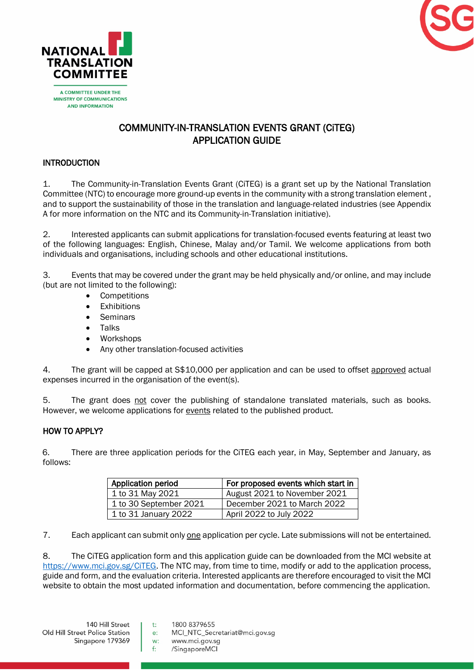



**MINISTRY OF COMMUNICATIONS AND INFORMATION** 

# COMMUNITY-IN-TRANSLATION EVENTS GRANT (CiTEG) APPLICATION GUIDE

### **INTRODUCTION**

1. The Community-in-Translation Events Grant (CiTEG) is a grant set up by the National Translation Committee (NTC) to encourage more ground-up events in the community with a strong translation element , and to support the sustainability of those in the translation and language-related industries (see Appendix A for more information on the NTC and its Community-in-Translation initiative).

2. Interested applicants can submit applications for translation-focused events featuring at least two of the following languages: English, Chinese, Malay and/or Tamil. We welcome applications from both individuals and organisations, including schools and other educational institutions.

3. Events that may be covered under the grant may be held physically and/or online, and may include (but are not limited to the following):

- Competitions
- **Exhibitions**
- **Seminars**
- Talks
- Workshops
- Any other translation-focused activities

4. The grant will be capped at S\$10,000 per application and can be used to offset approved actual expenses incurred in the organisation of the event(s).

5. The grant does not cover the publishing of standalone translated materials, such as books. However, we welcome applications for events related to the published product.

## HOW TO APPLY?

6. There are three application periods for the CiTEG each year, in May, September and January, as follows:

| Application period     | For proposed events which start in |
|------------------------|------------------------------------|
| 1 to 31 May 2021       | August 2021 to November 2021       |
| 1 to 30 September 2021 | December 2021 to March 2022        |
| 1 to 31 January 2022   | April 2022 to July 2022            |

7. Each applicant can submit only one application per cycle. Late submissions will not be entertained.

8. The CiTEG application form and this application guide can be downloaded from the MCI website at [https://www.mci.gov.sg/CiTEG.](https://www.mci.gov.sg/CiTEG) The NTC may, from time to time, modify or add to the application process, guide and form, and the evaluation criteria. Interested applicants are therefore encouraged to visit the MCI website to obtain the most updated information and documentation, before commencing the application.

140 Hill Street Old Hill Street Police Station Singapore 179369

- 1800 8379655  $t$ :
- MCI\_NTC\_Secretariat@mci.gov.sg e:
- w: www.mci.gov.sq  $f$ : /SingaporeMCI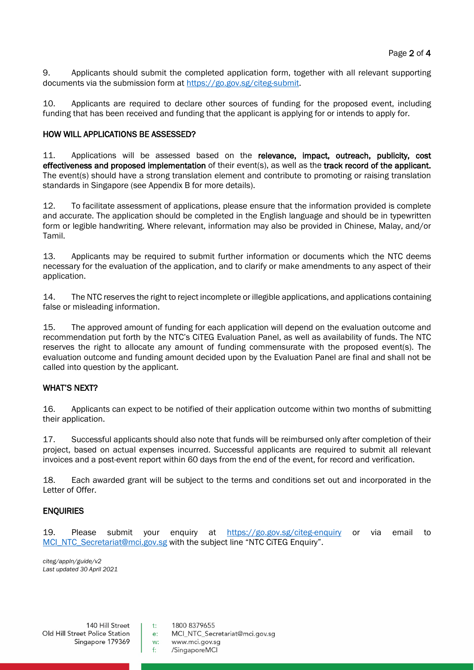9. Applicants should submit the completed application form, together with all relevant supporting documents via the submission form at [https://go.gov.sg/citeg-submit.](https://go.gov.sg/citeg-submit)

10. Applicants are required to declare other sources of funding for the proposed event, including funding that has been received and funding that the applicant is applying for or intends to apply for.

#### HOW WILL APPLICATIONS BE ASSESSED?

11. Applications will be assessed based on the relevance, impact, outreach, publicity, cost effectiveness and proposed implementation of their event(s), as well as the track record of the applicant. The event(s) should have a strong translation element and contribute to promoting or raising translation standards in Singapore (see Appendix B for more details).

12. To facilitate assessment of applications, please ensure that the information provided is complete and accurate. The application should be completed in the English language and should be in typewritten form or legible handwriting. Where relevant, information may also be provided in Chinese, Malay, and/or Tamil.

13. Applicants may be required to submit further information or documents which the NTC deems necessary for the evaluation of the application, and to clarify or make amendments to any aspect of their application.

14. The NTC reserves the right to reject incomplete or illegible applications, and applications containing false or misleading information.

15. The approved amount of funding for each application will depend on the evaluation outcome and recommendation put forth by the NTC's CiTEG Evaluation Panel, as well as availability of funds. The NTC reserves the right to allocate any amount of funding commensurate with the proposed event(s). The evaluation outcome and funding amount decided upon by the Evaluation Panel are final and shall not be called into question by the applicant.

#### WHAT'S NEXT?

16. Applicants can expect to be notified of their application outcome within two months of submitting their application.

17. Successful applicants should also note that funds will be reimbursed only after completion of their project, based on actual expenses incurred. Successful applicants are required to submit all relevant invoices and a post-event report within 60 days from the end of the event, for record and verification.

18. Each awarded grant will be subject to the terms and conditions set out and incorporated in the Letter of Offer.

#### **ENOUIRIES**

19. Please submit your enquiry at <https://go.gov.sg/citeg-enquiry> or via email to [MCI\\_NTC\\_Secretariat@mci.gov.sg](mailto:MCI_NTC_Secretariat@mci.gov.sg) with the subject line "NTC CiTEG Enquiry".

*citeg/appln/guide/v2 Last updated 30 April 2021*

140 Hill Street Old Hill Street Police Station Singapore 179369

 $t$ : 1800 8379655

MCI NTC Secretariat@mci.gov.sq  $e$ :

www.mci.gov.sq  $W<sup>2</sup>$  $f$ : /SingaporeMCI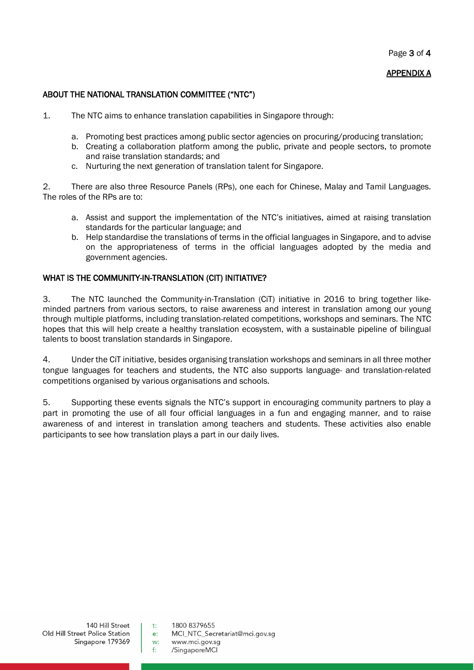Page 3 of 4

#### APPENDIX A

#### ABOUT THE NATIONAL TRANSLATION COMMITTEE ("NTC")

- 1. The NTC aims to enhance translation capabilities in Singapore through:
	- a. Promoting best practices among public sector agencies on procuring/producing translation;
	- b. Creating a collaboration platform among the public, private and people sectors, to promote and raise translation standards; and
	- c. Nurturing the next generation of translation talent for Singapore.

2. There are also three Resource Panels (RPs), one each for Chinese, Malay and Tamil Languages. The roles of the RPs are to:

- a. Assist and support the implementation of the NTC's initiatives, aimed at raising translation standards for the particular language; and
- b. Help standardise the translations of terms in the official languages in Singapore, and to advise on the appropriateness of terms in the official languages adopted by the media and government agencies.

#### WHAT IS THE COMMUNITY-IN-TRANSLATION (CIT) INITIATIVE?

3. The NTC launched the Community-in-Translation (CiT) initiative in 2016 to bring together likeminded partners from various sectors, to raise awareness and interest in translation among our young through multiple platforms, including translation-related competitions, workshops and seminars. The NTC hopes that this will help create a healthy translation ecosystem, with a sustainable pipeline of bilingual talents to boost translation standards in Singapore.

4. Under the CiT initiative, besides organising translation workshops and seminars in all three mother tongue languages for teachers and students, the NTC also supports language- and translation-related competitions organised by various organisations and schools.

5. Supporting these events signals the NTC's support in encouraging community partners to play a part in promoting the use of all four official languages in a fun and engaging manner, and to raise awareness of and interest in translation among teachers and students. These activities also enable participants to see how translation plays a part in our daily lives.

 $140$  Hill Street Old Hill Street Police Station Singapore 179369

1800 8379655  $t$ :

MCI NTC Secretariat@mci.gov.sq  $e$ :

www.mci.gov.sq  $W<sup>2</sup>$  $f$ : /SingaporeMCI